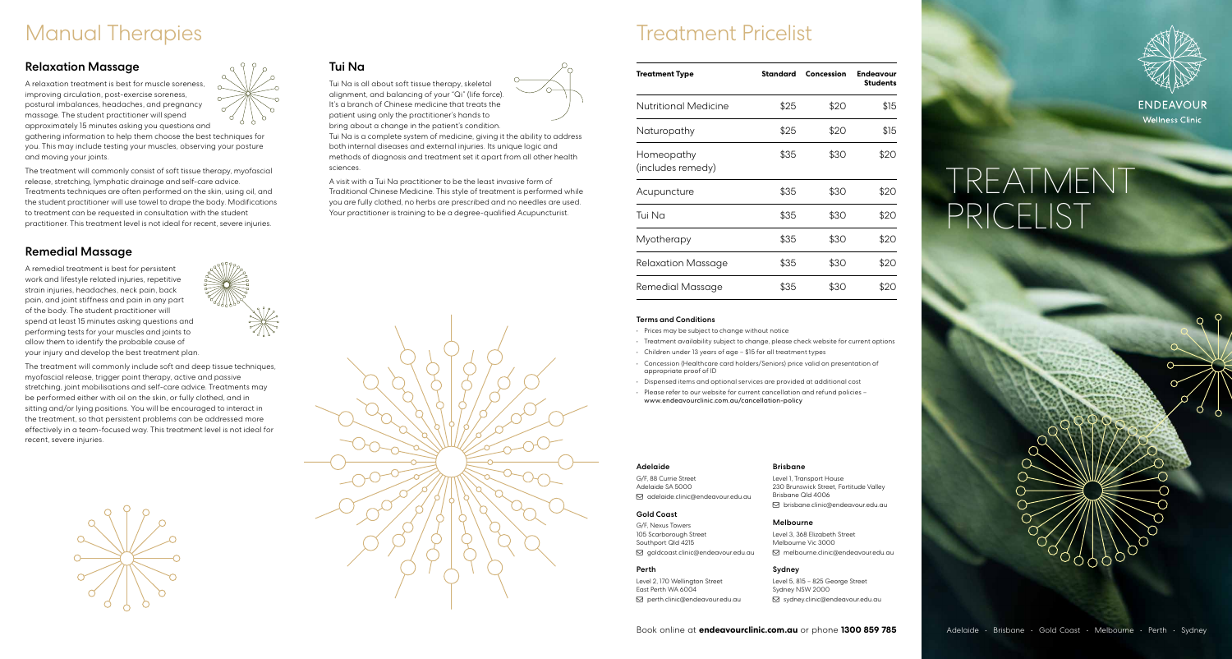## Manual Therapies

### Relaxation Massage

A relaxation treatment is best for muscle soreness, improving circulation, post-exercise soreness, postural imbalances, headaches, and pregnancy massage. The student practitioner will spend approximately 15 minutes asking you questions and

gathering information to help them choose the best techniques for you. This may include testing your muscles, observing your posture and moving your joints.

The treatment will commonly consist of soft tissue therapy, myofascial release, stretching, lymphatic drainage and self-care advice. Treatments techniques are often performed on the skin, using oil, and the student practitioner will use towel to drape the body. Modifications to treatment can be requested in consultation with the student practitioner. This treatment level is not ideal for recent, severe injuries.

### Remedial Massage

A remedial treatment is best for persistent work and lifestyle related injuries, repetitive strain injuries, headaches, neck pain, back pain, and joint stiffness and pain in any part of the body. The student practitioner will spend at least 15 minutes asking questions and performing tests for your muscles and joints to allow them to identify the probable cause of your injury and develop the best treatment plan.

The treatment will commonly include soft and deep tissue techniques, myofascial release, trigger point therapy, active and passive stretching, joint mobilisations and self-care advice. Treatments may be performed either with oil on the skin, or fully clothed, and in sitting and/or lying positions. You will be encouraged to interact in the treatment, so that persistent problems can be addressed more effectively in a team-focused way. This treatment level is not ideal for recent, severe injuries.





Tui Na is all about soft tissue therapy, skeletal alignment, and balancing of your "Qi" (life force). It's a branch of Chinese medicine that treats the patient using only the practitioner's hands to bring about a change in the patient's condition. Tui Na is a complete system of medicine, giving it the ability to address both internal diseases and external injuries. Its unique logic and methods of diagnosis and treatment set it apart from all other health sciences.

A visit with a Tui Na practitioner to be the least invasive form of Traditional Chinese Medicine. This style of treatment is performed while you are fully clothed, no herbs are prescribed and no needles are used. Your practitioner is training to be a degree-qualified Acupuncturist.



Treatment Pricelist

| <b>Treatment Type</b>           | Standard | Concession | <b>Endeavour</b><br><b>Students</b> |
|---------------------------------|----------|------------|-------------------------------------|
| Nutritional Medicine            | \$25     | \$20       | \$15                                |
| Naturopathy                     | \$25     | \$20       | \$15                                |
| Homeopathy<br>(includes remedy) | \$35     | \$30       | \$20                                |
| Acupuncture                     | \$35     | \$30       | \$20                                |
| Tui Na                          | \$35     | \$30       | \$20                                |
| Myotherapy                      | \$35     | \$30       | \$20                                |
| Relaxation Massage              | \$35     | \$30       | \$20                                |
| Remedial Massage                | \$35     | \$30       | \$20                                |

### Terms and Conditions

- Prices may be subject to change without notice
- Treatment availability subject to change, please check website for current options
- Children under 13 years of age \$15 for all treatment types
- Concession (Healthcare card holders/Seniors) price valid on presentation of appropriate proof of ID
- Dispensed items and optional services are provided at additional cost
- Please refer to our website for current cancellation and refund policies www.endeavourclinic.com.au/cancellation-policy

#### Adelaide

G/F, 88 Currie Street Adelaide SA 5000 adelaide.clinic@endeavour.edu.au

Gold Coast

230 Brunswick Street, Fortitude Valley Brisbane Qld 4006 brisbane.clinic@endeavour.edu.au

G/F, Nexus Towers 105 Scarborough Street Southport Qld 4215 goldcoast.clinic@endeavour.edu.au

### Perth

Level 2, 170 Wellington Street East Perth WA 6004 perth.clinic@endeavour.edu.au

Melbourne

Level 1, Transport House

Brisbane

Level 3, 368 Elizabeth Street Melbourne Vic 3000 melbourne.clinic@endeavour.edu.au

### Sydney

Level 5, 815 – 825 George Street Sydney NSW 2000 sydney.clinic@endeavour.edu.au



# TREATMENT PRICELIST